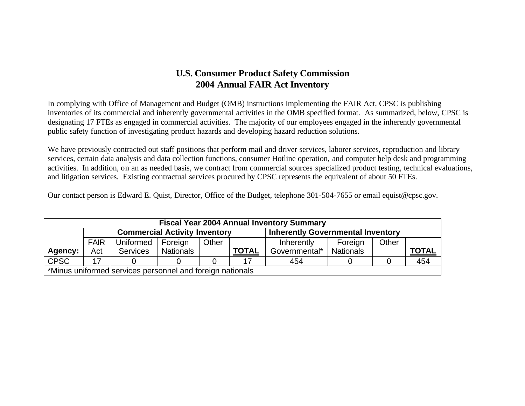## **U.S. Consumer Product Safety Commission 2004 Annual FAIR Act Inventory**

In complying with Office of Management and Budget (OMB) instructions implementing the FAIR Act, CPSC is publishing inventories of its commercial and inherently governmental activities in the OMB specified format. As summarized, below, CPSC is designating 17 FTEs as engaged in commercial activities. The majority of our employees engaged in the inherently governmental public safety function of investigating product hazards and developing hazard reduction solutions.

We have previously contracted out staff positions that perform mail and driver services, laborer services, reproduction and library services, certain data analysis and data collection functions, consumer Hotline operation, and computer help desk and programming activities. In addition, on an as needed basis, we contract from commercial sources specialized product testing, technical evaluations, and litigation services. Existing contractual services procured by CPSC represents the equivalent of about 50 FTEs.

Our contact person is Edward E. Quist, Director, Office of the Budget, telephone 301-504-7655 or email equist@cpsc.gov.

| <b>Fiscal Year 2004 Annual Inventory Summary</b> |                                                           |                  |                                      |       |                                          |               |                  |       |              |  |  |
|--------------------------------------------------|-----------------------------------------------------------|------------------|--------------------------------------|-------|------------------------------------------|---------------|------------------|-------|--------------|--|--|
|                                                  |                                                           |                  | <b>Commercial Activity Inventory</b> |       | <b>Inherently Governmental Inventory</b> |               |                  |       |              |  |  |
|                                                  | <b>FAIR</b>                                               | <b>Uniformed</b> | Foreign                              | Other |                                          | Inherently    | Foreign          | Other |              |  |  |
| Agency:                                          | Act                                                       | <b>Services</b>  | Nationals                            |       | <b>TOTAL</b>                             | Governmental* | <b>Nationals</b> |       | <b>TOTAL</b> |  |  |
| <b>CPSC</b>                                      | 17                                                        |                  |                                      |       |                                          | 454           |                  |       | 454          |  |  |
|                                                  | *Minus uniformed services personnel and foreign nationals |                  |                                      |       |                                          |               |                  |       |              |  |  |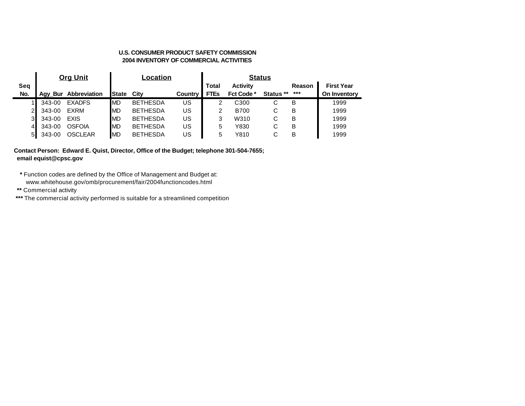## **U.S. CONSUMER PRODUCT SAFETY COMMISSION 2004 INVENTORY OF COMMERCIAL ACTIVITIES**

|                | <b>Org Unit</b> |                      | <b>Location</b> |                 | <b>Status</b> |             |                   |               |        |                   |
|----------------|-----------------|----------------------|-----------------|-----------------|---------------|-------------|-------------------|---------------|--------|-------------------|
| Seq            |                 |                      |                 |                 |               | Total       | <b>Activity</b>   |               | Reason | <b>First Year</b> |
| No.            |                 | Agy Bur Abbreviation | <b>State</b>    | City            | Country       | <b>FTEs</b> | <b>Fct Code *</b> | Status ** *** |        | On Inventory      |
|                | 343-00          | <b>EXADFS</b>        | <b>IMD</b>      | <b>BETHESDA</b> | US            |             | C300              | C             | в      | 1999              |
| $\overline{2}$ | 343-00          | EXRM                 | <b>MD</b>       | <b>BETHESDA</b> | US            |             | <b>B700</b>       | С             | в      | 1999              |
| 3 <sub>l</sub> | 343-00          | <b>EXIS</b>          | <b>MD</b>       | <b>BETHESDA</b> | US            | 3           | W310              | С             | в      | 1999              |
| 41             | 343-00          | <b>OSFOIA</b>        | <b>MD</b>       | <b>BETHESDA</b> | US            | 5           | Y830              | С             | B      | 1999              |
| 5 <sub>l</sub> | 343-00          | <b>OSCLEAR</b>       | <b>MD</b>       | <b>BETHESDA</b> | US            | 5           | Y810              |               | В      | 1999              |

**Contact Person: Edward E. Quist, Director, Office of the Budget; telephone 301-504-7655; email equist@cpsc.gov**

 **\*** Function codes are defined by the Office of Management and Budget at: www.whitehouse.gov/omb/procurement/fair/2004functioncodes.html

**\*\*** Commercial activity

\*\*\* The commercial activity performed is suitable for a streamlined competition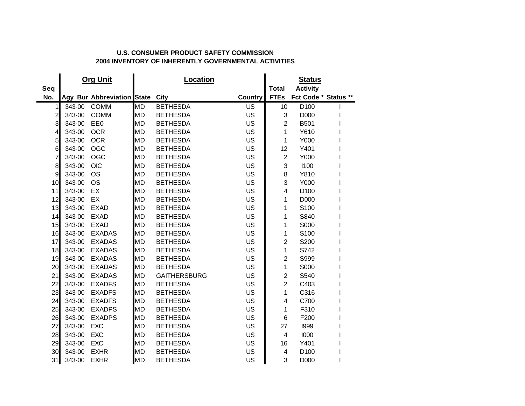## **U.S. CONSUMER PRODUCT SAFETY COMMISSION 2004 INVENTORY OF INHERENTLY GOVERNMENTAL ACTIVITIES**

|                         | <b>Org Unit</b> |                                   | Location  |                     |                | <b>Status</b>               |                                         |  |  |
|-------------------------|-----------------|-----------------------------------|-----------|---------------------|----------------|-----------------------------|-----------------------------------------|--|--|
| Seq<br>No.              |                 | <b>Agy_Bur Abbreviation State</b> |           | <b>City</b>         | <b>Country</b> | <b>Total</b><br><b>FTEs</b> | <b>Activity</b><br>Fct Code * Status ** |  |  |
| 1                       | 343-00          | <b>COMM</b>                       | <b>MD</b> | <b>BETHESDA</b>     | <b>US</b>      | 10                          | D <sub>100</sub>                        |  |  |
| $\overline{\mathbf{c}}$ | 343-00          | <b>COMM</b>                       | <b>MD</b> | <b>BETHESDA</b>     | <b>US</b>      | 3                           | D000                                    |  |  |
| 3                       | 343-00          | EE0                               | <b>MD</b> | <b>BETHESDA</b>     | <b>US</b>      | $\overline{2}$              | B501                                    |  |  |
| 4                       | 343-00          | <b>OCR</b>                        | <b>MD</b> | <b>BETHESDA</b>     | <b>US</b>      | 1                           | Y610                                    |  |  |
| $\overline{5}$          | 343-00          | <b>OCR</b>                        | <b>MD</b> | <b>BETHESDA</b>     | <b>US</b>      | 1                           | Y000                                    |  |  |
| $6 \overline{6}$        | 343-00          | <b>OGC</b>                        | <b>MD</b> | <b>BETHESDA</b>     | <b>US</b>      | 12                          | Y401                                    |  |  |
| 7                       | 343-00          | OGC                               | <b>MD</b> | <b>BETHESDA</b>     | US             | $\overline{2}$              | Y000                                    |  |  |
| 8                       | 343-00          | <b>OIC</b>                        | <b>MD</b> | <b>BETHESDA</b>     | <b>US</b>      | 3                           | 1100                                    |  |  |
| $\overline{9}$          | 343-00          | <b>OS</b>                         | <b>MD</b> | <b>BETHESDA</b>     | <b>US</b>      | 8                           | Y810                                    |  |  |
| 10                      | 343-00          | <b>OS</b>                         | <b>MD</b> | <b>BETHESDA</b>     | <b>US</b>      | 3                           | Y000                                    |  |  |
| 11                      | 343-00          | EX                                | <b>MD</b> | <b>BETHESDA</b>     | <b>US</b>      | 4                           | D100                                    |  |  |
| 12                      | 343-00          | EX                                | <b>MD</b> | <b>BETHESDA</b>     | <b>US</b>      | 1                           | D000                                    |  |  |
| 13                      | 343-00          | <b>EXAD</b>                       | <b>MD</b> | <b>BETHESDA</b>     | <b>US</b>      | 1                           | S100                                    |  |  |
| 14                      | 343-00          | <b>EXAD</b>                       | <b>MD</b> | <b>BETHESDA</b>     | <b>US</b>      | 1                           | S840                                    |  |  |
| 15                      | 343-00          | <b>EXAD</b>                       | <b>MD</b> | <b>BETHESDA</b>     | <b>US</b>      | 1                           | S000                                    |  |  |
| 16                      | 343-00          | <b>EXADAS</b>                     | <b>MD</b> | <b>BETHESDA</b>     | <b>US</b>      | 1                           | S100                                    |  |  |
| 17                      | 343-00          | <b>EXADAS</b>                     | <b>MD</b> | <b>BETHESDA</b>     | <b>US</b>      | $\overline{2}$              | S200                                    |  |  |
| 18                      | 343-00          | <b>EXADAS</b>                     | <b>MD</b> | <b>BETHESDA</b>     | <b>US</b>      | 1                           | S742                                    |  |  |
| 19                      | 343-00          | <b>EXADAS</b>                     | <b>MD</b> | <b>BETHESDA</b>     | <b>US</b>      | $\overline{c}$              | S999                                    |  |  |
| 20                      | 343-00          | <b>EXADAS</b>                     | <b>MD</b> | <b>BETHESDA</b>     | <b>US</b>      | 1                           | S000                                    |  |  |
| 21                      | 343-00          | <b>EXADAS</b>                     | <b>MD</b> | <b>GAITHERSBURG</b> | <b>US</b>      | $\overline{2}$              | S540                                    |  |  |
| 22                      | 343-00          | <b>EXADFS</b>                     | <b>MD</b> | <b>BETHESDA</b>     | <b>US</b>      | $\overline{c}$              | C403                                    |  |  |
| 23                      | 343-00          | <b>EXADFS</b>                     | <b>MD</b> | <b>BETHESDA</b>     | <b>US</b>      | 1                           | C316                                    |  |  |
| 24                      | 343-00          | <b>EXADFS</b>                     | <b>MD</b> | <b>BETHESDA</b>     | <b>US</b>      | 4                           | C700                                    |  |  |
| 25                      | 343-00          | <b>EXADPS</b>                     | <b>MD</b> | <b>BETHESDA</b>     | <b>US</b>      | 1                           | F310                                    |  |  |
| 26                      | 343-00          | <b>EXADPS</b>                     | <b>MD</b> | <b>BETHESDA</b>     | <b>US</b>      | $\,6$                       | F200                                    |  |  |
| 27                      | 343-00          | <b>EXC</b>                        | <b>MD</b> | <b>BETHESDA</b>     | <b>US</b>      | 27                          | 1999                                    |  |  |
| 28                      | 343-00          | <b>EXC</b>                        | <b>MD</b> | <b>BETHESDA</b>     | <b>US</b>      | $\overline{\mathbf{4}}$     | 1000                                    |  |  |
| 29                      | 343-00          | <b>EXC</b>                        | <b>MD</b> | <b>BETHESDA</b>     | <b>US</b>      | 16                          | Y401                                    |  |  |
| 30                      | 343-00          | <b>EXHR</b>                       | <b>MD</b> | <b>BETHESDA</b>     | <b>US</b>      | 4                           | D100                                    |  |  |
| 31                      | 343-00          | <b>EXHR</b>                       | <b>MD</b> | <b>BETHESDA</b>     | <b>US</b>      | 3                           | D000                                    |  |  |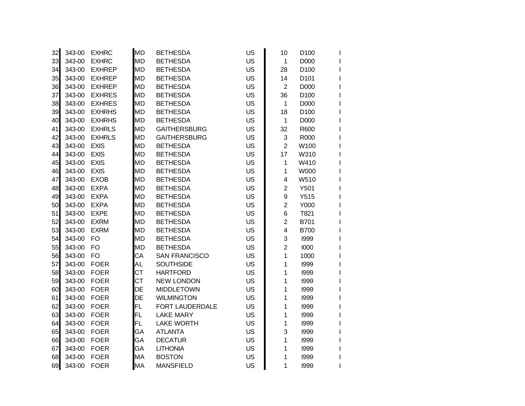| 32 | 343-00 | <b>EXHRC</b>  | <b>MD</b> | <b>BETHESDA</b>      | <b>US</b> | 10                      | D <sub>100</sub> |   |
|----|--------|---------------|-----------|----------------------|-----------|-------------------------|------------------|---|
| 33 | 343-00 | <b>EXHRC</b>  | <b>MD</b> | <b>BETHESDA</b>      | <b>US</b> | $\mathbf{1}$            | D000             |   |
| 34 | 343-00 | <b>EXHREP</b> | <b>MD</b> | <b>BETHESDA</b>      | <b>US</b> | 28                      | D100             |   |
| 35 | 343-00 | <b>EXHREP</b> | <b>MD</b> | <b>BETHESDA</b>      | <b>US</b> | 14                      | D <sub>101</sub> |   |
| 36 | 343-00 | <b>EXHREP</b> | <b>MD</b> | <b>BETHESDA</b>      | <b>US</b> | $\overline{2}$          | D000             | ı |
| 37 | 343-00 | <b>EXHRES</b> | <b>MD</b> | <b>BETHESDA</b>      | US        | 36                      | D <sub>100</sub> | ı |
| 38 | 343-00 | <b>EXHRES</b> | <b>MD</b> | <b>BETHESDA</b>      | US        | $\mathbf{1}$            | D000             | ı |
| 39 | 343-00 | <b>EXHRHS</b> | <b>MD</b> | <b>BETHESDA</b>      | <b>US</b> | 18                      | D <sub>100</sub> | I |
| 40 | 343-00 | <b>EXHRHS</b> | <b>MD</b> | <b>BETHESDA</b>      | <b>US</b> | $\mathbf{1}$            | D000             |   |
| 41 | 343-00 | <b>EXHRLS</b> | <b>MD</b> | <b>GAITHERSBURG</b>  | <b>US</b> | 32                      | R600             |   |
| 42 | 343-00 | <b>EXHRLS</b> | <b>MD</b> | <b>GAITHERSBURG</b>  | <b>US</b> | 3                       | R000             |   |
| 43 | 343-00 | <b>EXIS</b>   | <b>MD</b> | <b>BETHESDA</b>      | <b>US</b> | $\overline{2}$          | W100             |   |
| 44 | 343-00 | <b>EXIS</b>   | <b>MD</b> | <b>BETHESDA</b>      | <b>US</b> | 17                      | W310             |   |
| 45 | 343-00 | <b>EXIS</b>   | <b>MD</b> | <b>BETHESDA</b>      | <b>US</b> | 1                       | W410             |   |
| 46 | 343-00 | <b>EXIS</b>   | MD        | <b>BETHESDA</b>      | US        | 1                       | W000             |   |
| 47 | 343-00 | <b>EXOB</b>   | <b>MD</b> | <b>BETHESDA</b>      | <b>US</b> | $\overline{\mathbf{4}}$ | W510             |   |
| 48 | 343-00 | <b>EXPA</b>   | <b>MD</b> | <b>BETHESDA</b>      | US        | $\mathbf{2}$            | Y501             |   |
| 49 | 343-00 | <b>EXPA</b>   | <b>MD</b> | <b>BETHESDA</b>      | <b>US</b> | 9                       | Y515             |   |
| 50 | 343-00 | <b>EXPA</b>   | <b>MD</b> | <b>BETHESDA</b>      | <b>US</b> | $\overline{2}$          | Y000             |   |
| 51 | 343-00 | <b>EXPE</b>   | <b>MD</b> | <b>BETHESDA</b>      | <b>US</b> | 6                       | T821             |   |
| 52 | 343-00 | <b>EXRM</b>   | <b>MD</b> | <b>BETHESDA</b>      | <b>US</b> | $\overline{2}$          | B701             |   |
| 53 | 343-00 | <b>EXRM</b>   | <b>MD</b> | <b>BETHESDA</b>      | <b>US</b> | 4                       | <b>B700</b>      |   |
| 54 | 343-00 | <b>FO</b>     | <b>MD</b> | <b>BETHESDA</b>      | <b>US</b> | 3                       | 1999             |   |
| 55 | 343-00 | <b>FO</b>     | <b>MD</b> | <b>BETHESDA</b>      | <b>US</b> | $\overline{2}$          | 1000             |   |
| 56 | 343-00 | <b>FO</b>     | CA        | <b>SAN FRANCISCO</b> | <b>US</b> | 1                       | 1000             |   |
| 57 | 343-00 | <b>FOER</b>   | <b>AL</b> | <b>SOUTHSIDE</b>     | <b>US</b> | 1                       | 1999             |   |
| 58 | 343-00 | <b>FOER</b>   | <b>CT</b> | <b>HARTFORD</b>      | <b>US</b> | 1                       | 1999             |   |
| 59 | 343-00 | <b>FOER</b>   | <b>CT</b> | <b>NEW LONDON</b>    | <b>US</b> | 1                       | 1999             |   |
| 60 | 343-00 | <b>FOER</b>   | DE        | <b>MIDDLETOWN</b>    | <b>US</b> | 1                       | 1999             |   |
| 61 | 343-00 | <b>FOER</b>   | DE        | <b>WILMINGTON</b>    | <b>US</b> | 1                       | 1999             |   |
| 62 | 343-00 | <b>FOER</b>   | FL        | FORT LAUDERDALE      | <b>US</b> | 1                       | 1999             |   |
| 63 | 343-00 | <b>FOER</b>   | FL        | <b>LAKE MARY</b>     | <b>US</b> | 1                       | 1999             |   |
| 64 | 343-00 | <b>FOER</b>   | FL        | <b>LAKE WORTH</b>    | <b>US</b> | 1                       | 1999             |   |
| 65 | 343-00 | <b>FOER</b>   | GA        | <b>ATLANTA</b>       | <b>US</b> | 3                       | 1999             |   |
| 66 | 343-00 | <b>FOER</b>   | GA        | <b>DECATUR</b>       | <b>US</b> | 1                       | 1999             |   |
| 67 | 343-00 | <b>FOER</b>   | GA        | <b>LITHONIA</b>      | <b>US</b> | 1                       | 1999             |   |
| 68 | 343-00 | <b>FOER</b>   | MA        | <b>BOSTON</b>        | US        | 1                       | 1999             |   |
| 69 | 343-00 | <b>FOER</b>   | MA        | <b>MANSFIELD</b>     | <b>US</b> | 1                       | 1999             | ı |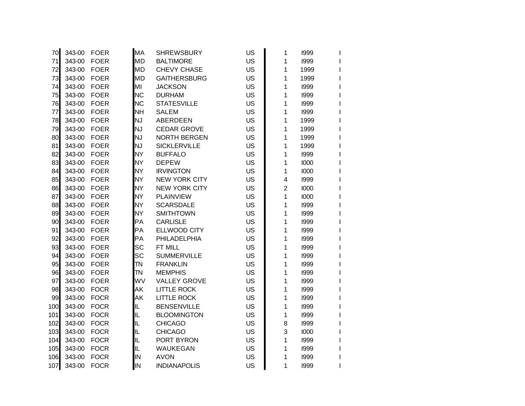| 70  | 343-00 | <b>FOER</b> | MA        | <b>SHREWSBURY</b>    | US        | 1              | 1999 | ı |
|-----|--------|-------------|-----------|----------------------|-----------|----------------|------|---|
| 71  | 343-00 | <b>FOER</b> | <b>MD</b> | <b>BALTIMORE</b>     | <b>US</b> | 1              | 1999 | ı |
| 72  | 343-00 | <b>FOER</b> | MD        | CHEVY CHASE          | US        | 1              | 1999 | I |
| 73  | 343-00 | <b>FOER</b> | <b>MD</b> | <b>GAITHERSBURG</b>  | <b>US</b> | 1              | 1999 |   |
| 74  | 343-00 | <b>FOER</b> | MI        | <b>JACKSON</b>       | <b>US</b> | 1              | 1999 | I |
| 75  | 343-00 | <b>FOER</b> | <b>NC</b> | <b>DURHAM</b>        | <b>US</b> | 1              | 1999 |   |
| 76  | 343-00 | <b>FOER</b> | <b>NC</b> | <b>STATESVILLE</b>   | <b>US</b> | 1              | 1999 |   |
| 77  | 343-00 | <b>FOER</b> | <b>NH</b> | <b>SALEM</b>         | <b>US</b> | 1              | 1999 |   |
| 78  | 343-00 | <b>FOER</b> | <b>NJ</b> | <b>ABERDEEN</b>      | <b>US</b> | 1              | 1999 |   |
| 79  | 343-00 | <b>FOER</b> | <b>NJ</b> | <b>CEDAR GROVE</b>   | <b>US</b> | 1              | 1999 |   |
| 80  | 343-00 | <b>FOER</b> | <b>NJ</b> | <b>NORTH BERGEN</b>  | <b>US</b> | 1              | 1999 |   |
| 81  | 343-00 | <b>FOER</b> | <b>NJ</b> | <b>SICKLERVILLE</b>  | <b>US</b> | 1              | 1999 |   |
| 82  | 343-00 | <b>FOER</b> | <b>NY</b> | <b>BUFFALO</b>       | <b>US</b> | 1              | 1999 |   |
| 83  | 343-00 | <b>FOER</b> | <b>NY</b> | <b>DEPEW</b>         | <b>US</b> | 1              | 1000 |   |
| 84  | 343-00 | <b>FOER</b> | <b>NY</b> | <b>IRVINGTON</b>     | <b>US</b> | 1              | 1000 |   |
| 85  | 343-00 | <b>FOER</b> | <b>NY</b> | <b>NEW YORK CITY</b> | US        | 4              | 1999 |   |
| 86  | 343-00 | <b>FOER</b> | <b>NY</b> | <b>NEW YORK CITY</b> | <b>US</b> | $\overline{c}$ | 1000 |   |
| 87  | 343-00 | <b>FOER</b> | <b>NY</b> | <b>PLAINVIEW</b>     | US        | 1              | 1000 |   |
| 88  | 343-00 | <b>FOER</b> | <b>NY</b> | <b>SCARSDALE</b>     | <b>US</b> | 1              | 1999 |   |
| 89  | 343-00 | <b>FOER</b> | <b>NY</b> | <b>SMITHTOWN</b>     | US        | 1              | 1999 |   |
| 90  | 343-00 | <b>FOER</b> | PA        | <b>CARLISLE</b>      | <b>US</b> | 1              | 1999 |   |
| 91  | 343-00 | <b>FOER</b> | PA        | ELLWOOD CITY         | <b>US</b> | 1              | 1999 |   |
| 92  | 343-00 | <b>FOER</b> | PA        | PHILADELPHIA         | US        | 1              | 1999 |   |
| 93  | 343-00 | <b>FOER</b> | <b>SC</b> | FT MILL              | US        | 1              | 1999 |   |
| 94  | 343-00 | <b>FOER</b> | SC        | <b>SUMMERVILLE</b>   | US        | 1              | 1999 |   |
| 95  | 343-00 | <b>FOER</b> | TN        | <b>FRANKLIN</b>      | <b>US</b> | 1              | 1999 |   |
| 96  | 343-00 | <b>FOER</b> | TN        | <b>MEMPHIS</b>       | <b>US</b> | 1              | 1999 |   |
| 97  | 343-00 | <b>FOER</b> | WV        | <b>VALLEY GROVE</b>  | <b>US</b> | 1              | 1999 |   |
| 98  | 343-00 | <b>FOCR</b> | AK        | <b>LITTLE ROCK</b>   | <b>US</b> | 1              | 1999 |   |
| 99  | 343-00 | <b>FOCR</b> | AK        | <b>LITTLE ROCK</b>   | <b>US</b> | 1              | 1999 |   |
| 100 | 343-00 | <b>FOCR</b> | IL        | <b>BENSENVILLE</b>   | <b>US</b> | 1              | 1999 | T |
| 101 | 343-00 | <b>FOCR</b> | IL        | <b>BLOOMINGTON</b>   | <b>US</b> | 1              | 1999 |   |
| 102 | 343-00 | <b>FOCR</b> | IL        | <b>CHICAGO</b>       | US        | 8              | 1999 |   |
| 103 | 343-00 | <b>FOCR</b> | IL        | <b>CHICAGO</b>       | US        | 3              | 1000 |   |
| 104 | 343-00 | <b>FOCR</b> | IL        | PORT BYRON           | <b>US</b> | 1              | 1999 |   |
| 105 | 343-00 | <b>FOCR</b> | IL        | <b>WAUKEGAN</b>      | US        | 1              | 1999 |   |
| 106 | 343-00 | <b>FOCR</b> | IN        | <b>AVON</b>          | <b>US</b> | 1              | 1999 |   |
| 107 | 343-00 | <b>FOCR</b> | IN        | <b>INDIANAPOLIS</b>  | <b>US</b> | 1              | 1999 | ı |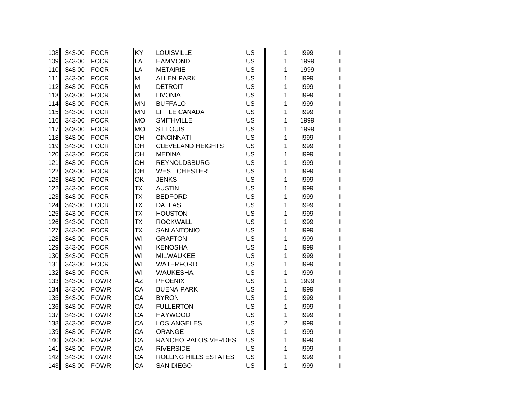| 108 | 343-00 | <b>FOCR</b> | ΚY        | <b>LOUISVILLE</b>        | US        | 1              | 1999 |   |
|-----|--------|-------------|-----------|--------------------------|-----------|----------------|------|---|
| 109 | 343-00 | <b>FOCR</b> | LA        | <b>HAMMOND</b>           | <b>US</b> | 1              | 1999 |   |
| 110 | 343-00 | <b>FOCR</b> | LA        | <b>METAIRIE</b>          | <b>US</b> | 1              | 1999 | ı |
| 111 | 343-00 | <b>FOCR</b> | MI        | <b>ALLEN PARK</b>        | <b>US</b> | 1              | 1999 |   |
| 112 | 343-00 | <b>FOCR</b> | MI        | <b>DETROIT</b>           | <b>US</b> | 1              | 1999 |   |
| 113 | 343-00 | <b>FOCR</b> | MI        | <b>LIVONIA</b>           | <b>US</b> | 1              | 1999 |   |
| 114 | 343-00 | <b>FOCR</b> | <b>MN</b> | <b>BUFFALO</b>           | <b>US</b> | 1              | 1999 |   |
| 115 | 343-00 | <b>FOCR</b> | <b>MN</b> | <b>LITTLE CANADA</b>     | <b>US</b> | 1              | 1999 |   |
| 116 | 343-00 | <b>FOCR</b> | <b>MO</b> | <b>SMITHVILLE</b>        | <b>US</b> | 1              | 1999 |   |
| 117 | 343-00 | <b>FOCR</b> | <b>MO</b> | <b>ST LOUIS</b>          | <b>US</b> | 1              | 1999 |   |
| 118 | 343-00 | <b>FOCR</b> | OН        | <b>CINCINNATI</b>        | <b>US</b> | 1              | 1999 |   |
| 119 | 343-00 | <b>FOCR</b> | OН        | <b>CLEVELAND HEIGHTS</b> | <b>US</b> | 1              | 1999 |   |
| 120 | 343-00 | <b>FOCR</b> | OН        | <b>MEDINA</b>            | <b>US</b> | 1              | 1999 |   |
| 121 | 343-00 | <b>FOCR</b> | OН        | <b>REYNOLDSBURG</b>      | <b>US</b> | 1              | 1999 |   |
| 122 | 343-00 | <b>FOCR</b> | OН        | <b>WEST CHESTER</b>      | <b>US</b> | 1              | 1999 |   |
| 123 | 343-00 | <b>FOCR</b> | ОK        | <b>JENKS</b>             | <b>US</b> | 1              | 1999 |   |
| 122 | 343-00 | <b>FOCR</b> | TX        | <b>AUSTIN</b>            | <b>US</b> | 1              | 1999 |   |
| 123 | 343-00 | <b>FOCR</b> | TX        | <b>BEDFORD</b>           | <b>US</b> | 1              | 1999 |   |
| 124 | 343-00 | <b>FOCR</b> | ТX        | <b>DALLAS</b>            | <b>US</b> | 1              | 1999 |   |
| 125 | 343-00 | <b>FOCR</b> | ТX        | <b>HOUSTON</b>           | <b>US</b> | 1              | 1999 |   |
| 126 | 343-00 | <b>FOCR</b> | ТX        | <b>ROCKWALL</b>          | <b>US</b> | 1              | 1999 |   |
| 127 | 343-00 | <b>FOCR</b> | ТX        | <b>SAN ANTONIO</b>       | <b>US</b> | 1              | 1999 |   |
| 128 | 343-00 | <b>FOCR</b> | WI        | <b>GRAFTON</b>           | <b>US</b> | 1              | 1999 |   |
| 129 | 343-00 | <b>FOCR</b> | WI        | <b>KENOSHA</b>           | <b>US</b> | 1              | 1999 |   |
| 130 | 343-00 | <b>FOCR</b> | WI        | <b>MILWAUKEE</b>         | <b>US</b> | 1              | 1999 |   |
| 131 | 343-00 | <b>FOCR</b> | WI        | <b>WATERFORD</b>         | <b>US</b> | 1              | 1999 |   |
| 132 | 343-00 | <b>FOCR</b> | WI        | <b>WAUKESHA</b>          | <b>US</b> | 1              | 1999 |   |
| 133 | 343-00 | <b>FOWR</b> | AZ        | <b>PHOENIX</b>           | <b>US</b> | 1              | 1999 |   |
| 134 | 343-00 | <b>FOWR</b> | CA        | <b>BUENA PARK</b>        | <b>US</b> | 1              | 1999 |   |
| 135 | 343-00 | <b>FOWR</b> | CA        | <b>BYRON</b>             | <b>US</b> | 1              | 1999 | ı |
| 136 | 343-00 | <b>FOWR</b> | CA        | <b>FULLERTON</b>         | <b>US</b> | 1              | 1999 | L |
| 137 | 343-00 | <b>FOWR</b> | CA        | <b>HAYWOOD</b>           | <b>US</b> | 1              | 1999 |   |
| 138 | 343-00 | <b>FOWR</b> | CA        | <b>LOS ANGELES</b>       | <b>US</b> | $\overline{c}$ | 1999 |   |
| 139 | 343-00 | <b>FOWR</b> | СA        | <b>ORANGE</b>            | US        | 1              | 1999 |   |
| 140 | 343-00 | <b>FOWR</b> | CA        | RANCHO PALOS VERDES      | <b>US</b> | 1              | 1999 |   |
| 141 | 343-00 | <b>FOWR</b> | СA        | <b>RIVERSIDE</b>         | <b>US</b> | 1              | 1999 |   |
| 142 | 343-00 | <b>FOWR</b> | CA        | ROLLING HILLS ESTATES    | <b>US</b> | 1              | 1999 |   |
| 143 | 343-00 | <b>FOWR</b> | CA        | <b>SAN DIEGO</b>         | US        | 1              | 1999 | ı |